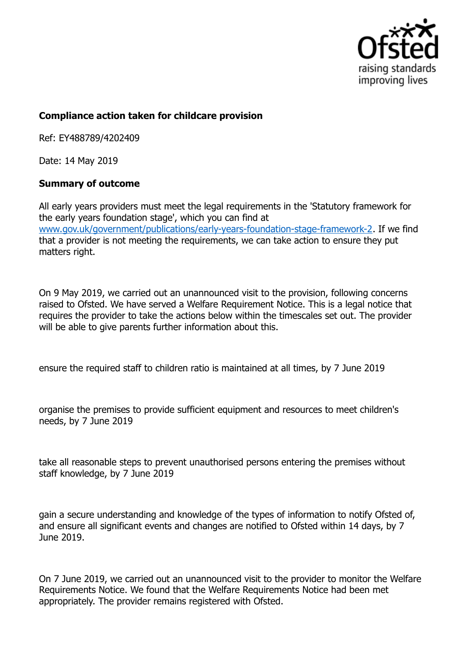

## **Compliance action taken for childcare provision**

Ref: EY488789/4202409

Date: 14 May 2019

## **Summary of outcome**

All early years providers must meet the legal requirements in the 'Statutory framework for the early years foundation stage', which you can find at www.gov.uk/government/publications/early-years-foundation-stage-framework-2. If we find that a provider is not meeting the requirements, we can take action to ensure they put matters right.

On 9 May 2019, we carried out an unannounced visit to the provision, following concerns raised to Ofsted. We have served a Welfare Requirement Notice. This is a legal notice that requires the provider to take the actions below within the timescales set out. The provider will be able to give parents further information about this.

ensure the required staff to children ratio is maintained at all times, by 7 June 2019

organise the premises to provide sufficient equipment and resources to meet children's needs, by 7 June 2019

take all reasonable steps to prevent unauthorised persons entering the premises without staff knowledge, by 7 June 2019

gain a secure understanding and knowledge of the types of information to notify Ofsted of, and ensure all significant events and changes are notified to Ofsted within 14 days, by 7 June 2019.

On 7 June 2019, we carried out an unannounced visit to the provider to monitor the Welfare Requirements Notice. We found that the Welfare Requirements Notice had been met appropriately. The provider remains registered with Ofsted.